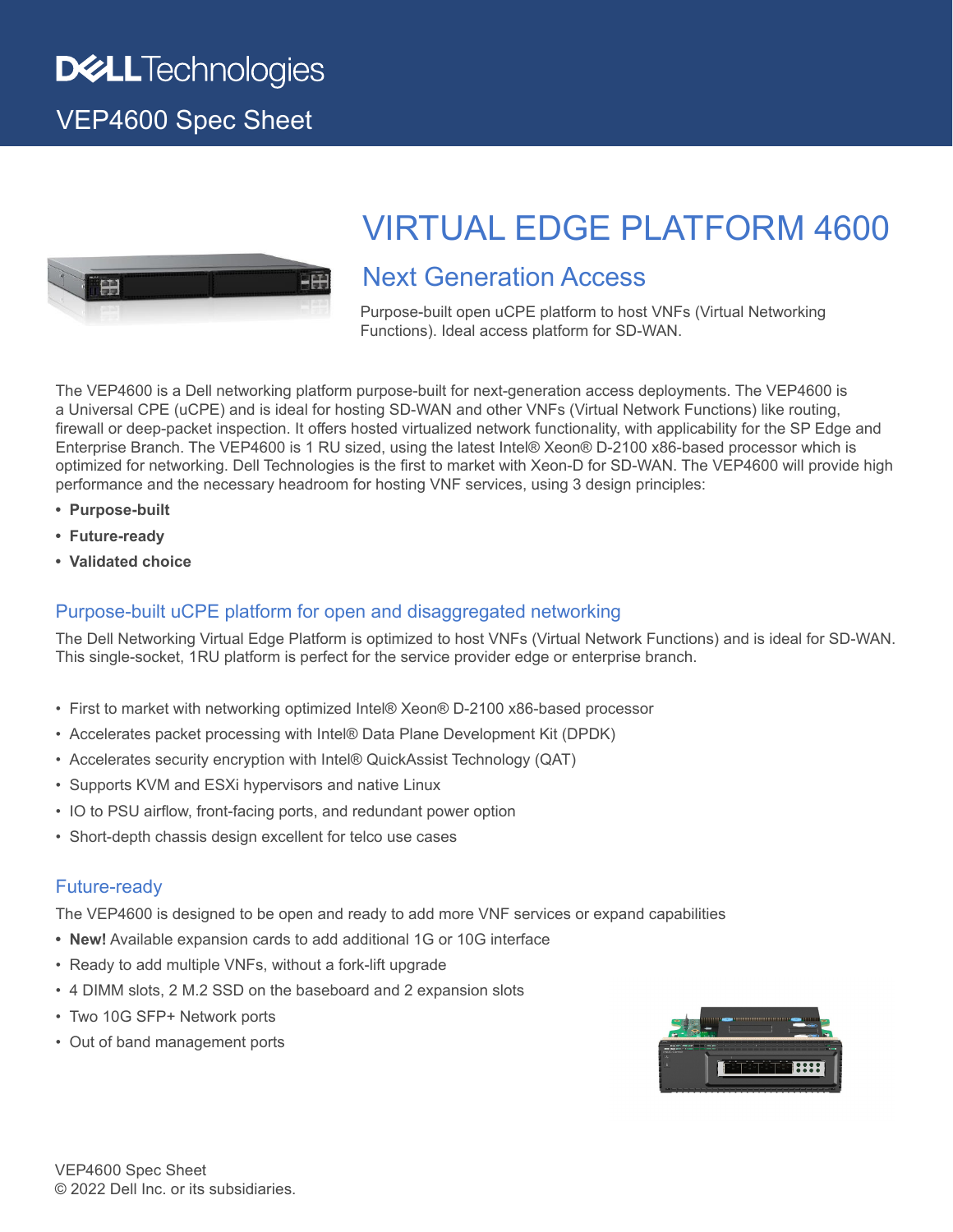VEP4600 Spec Sheet



# VIRTUAL EDGE PLATFORM 4600

## Next Generation Access

Purpose-built open uCPE platform to host VNFs (Virtual Networking Functions). Ideal access platform for SD-WAN.

The VEP4600 is a Dell networking platform purpose-built for next-generation access deployments. The VEP4600 is a Universal CPE (uCPE) and is ideal for hosting SD-WAN and other VNFs (Virtual Network Functions) like routing, firewall or deep-packet inspection. It offers hosted virtualized network functionality, with applicability for the SP Edge and Enterprise Branch. The VEP4600 is 1 RU sized, using the latest Intel® Xeon® D-2100 x86-based processor which is optimized for networking. Dell Technologies is the first to market with Xeon-D for SD-WAN. The VEP4600 will provide high performance and the necessary headroom for hosting VNF services, using 3 design principles:

- **• Purpose-built**
- **• Future-ready**
- **• Validated choice**

### Purpose-built uCPE platform for open and disaggregated networking

The Dell Networking Virtual Edge Platform is optimized to host VNFs (Virtual Network Functions) and is ideal for SD-WAN. This single-socket, 1RU platform is perfect for the service provider edge or enterprise branch.

- First to market with networking optimized Intel® Xeon® D-2100 x86-based processor
- Accelerates packet processing with Intel® Data Plane Development Kit (DPDK)
- Accelerates security encryption with Intel® QuickAssist Technology (QAT)
- Supports KVM and ESXi hypervisors and native Linux
- IO to PSU airflow, front-facing ports, and redundant power option
- Short-depth chassis design excellent for telco use cases

#### Future-ready

The VEP4600 is designed to be open and ready to add more VNF services or expand capabilities

- **• New!** Available expansion cards to add additional 1G or 10G interface
- Ready to add multiple VNFs, without a fork-lift upgrade
- 4 DIMM slots, 2 M.2 SSD on the baseboard and 2 expansion slots
- Two 10G SFP+ Network ports
- Out of band management ports

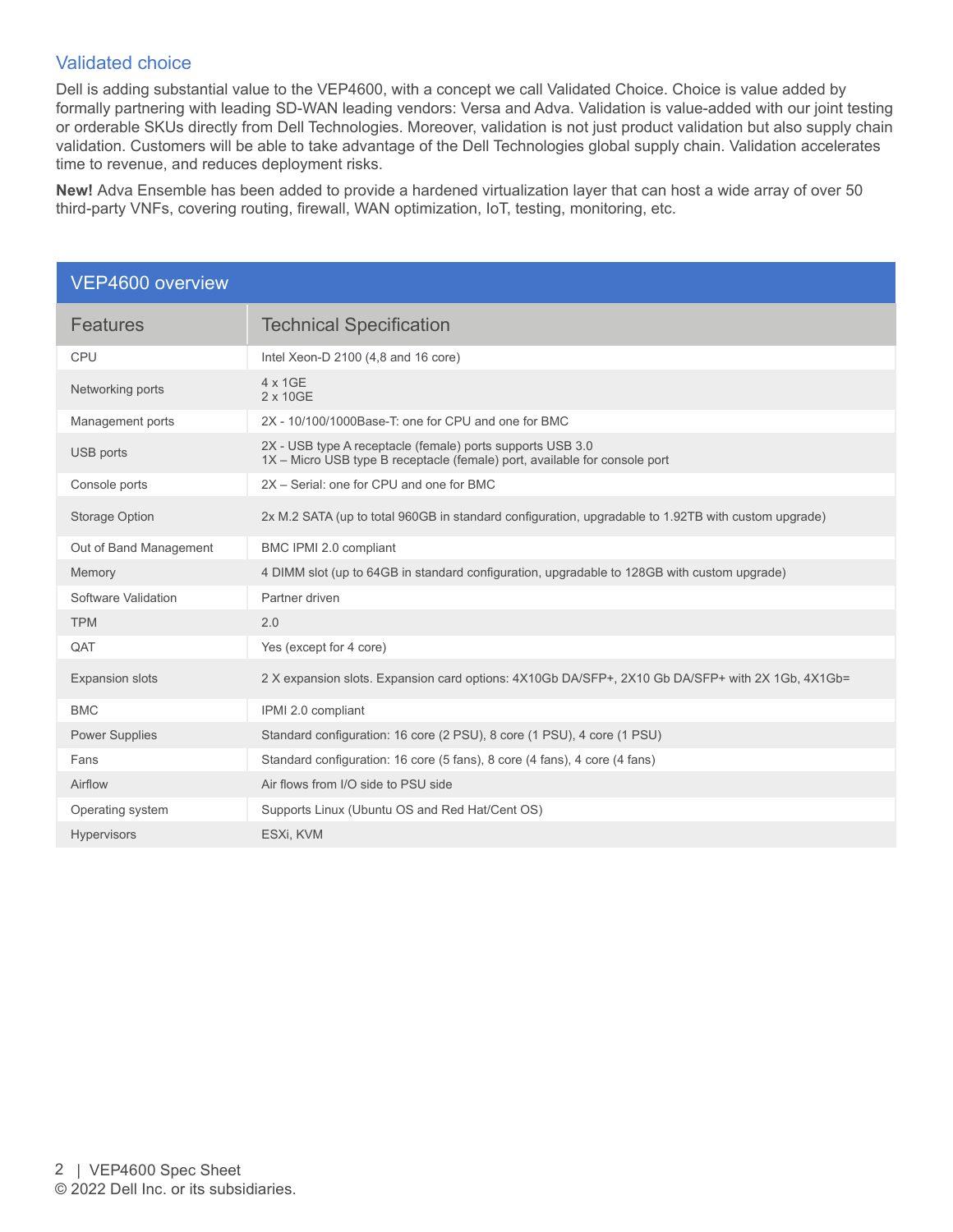#### Validated choice

Dell is adding substantial value to the VEP4600, with a concept we call Validated Choice. Choice is value added by formally partnering with leading SD-WAN leading vendors: Versa and Adva. Validation is value-added with our joint testing or orderable SKUs directly from Dell Technologies. Moreover, validation is not just product validation but also supply chain validation. Customers will be able to take advantage of the Dell Technologies global supply chain. Validation accelerates time to revenue, and reduces deployment risks.

**New!** Adva Ensemble has been added to provide a hardened virtualization layer that can host a wide array of over 50 third-party VNFs, covering routing, firewall, WAN optimization, IoT, testing, monitoring, etc.

| VEP4600 overview       |                                                                                                                                          |
|------------------------|------------------------------------------------------------------------------------------------------------------------------------------|
| <b>Features</b>        | <b>Technical Specification</b>                                                                                                           |
| CPU                    | Intel Xeon-D 2100 (4,8 and 16 core)                                                                                                      |
| Networking ports       | 4 x 1GE<br>2 x 10GE                                                                                                                      |
| Management ports       | 2X - 10/100/1000Base-T; one for CPU and one for BMC                                                                                      |
| USB ports              | 2X - USB type A receptacle (female) ports supports USB 3.0<br>1X - Micro USB type B receptacle (female) port, available for console port |
| Console ports          | 2X - Serial: one for CPU and one for BMC                                                                                                 |
| <b>Storage Option</b>  | 2x M.2 SATA (up to total 960GB in standard configuration, upgradable to 1.92TB with custom upgrade)                                      |
| Out of Band Management | BMC IPMI 2.0 compliant                                                                                                                   |
| Memory                 | 4 DIMM slot (up to 64GB in standard configuration, upgradable to 128GB with custom upgrade)                                              |
| Software Validation    | Partner driven                                                                                                                           |
| <b>TPM</b>             | 2.0                                                                                                                                      |
| QAT                    | Yes (except for 4 core)                                                                                                                  |
| <b>Expansion slots</b> | 2 X expansion slots. Expansion card options: 4X10Gb DA/SFP+, 2X10 Gb DA/SFP+ with 2X 1Gb, 4X1Gb=                                         |
| <b>BMC</b>             | IPMI 2.0 compliant                                                                                                                       |
| <b>Power Supplies</b>  | Standard configuration: 16 core (2 PSU), 8 core (1 PSU), 4 core (1 PSU)                                                                  |
| Fans                   | Standard configuration: 16 core (5 fans), 8 core (4 fans), 4 core (4 fans)                                                               |
| Airflow                | Air flows from I/O side to PSU side                                                                                                      |
| Operating system       | Supports Linux (Ubuntu OS and Red Hat/Cent OS)                                                                                           |
| <b>Hypervisors</b>     | ESXi, KVM                                                                                                                                |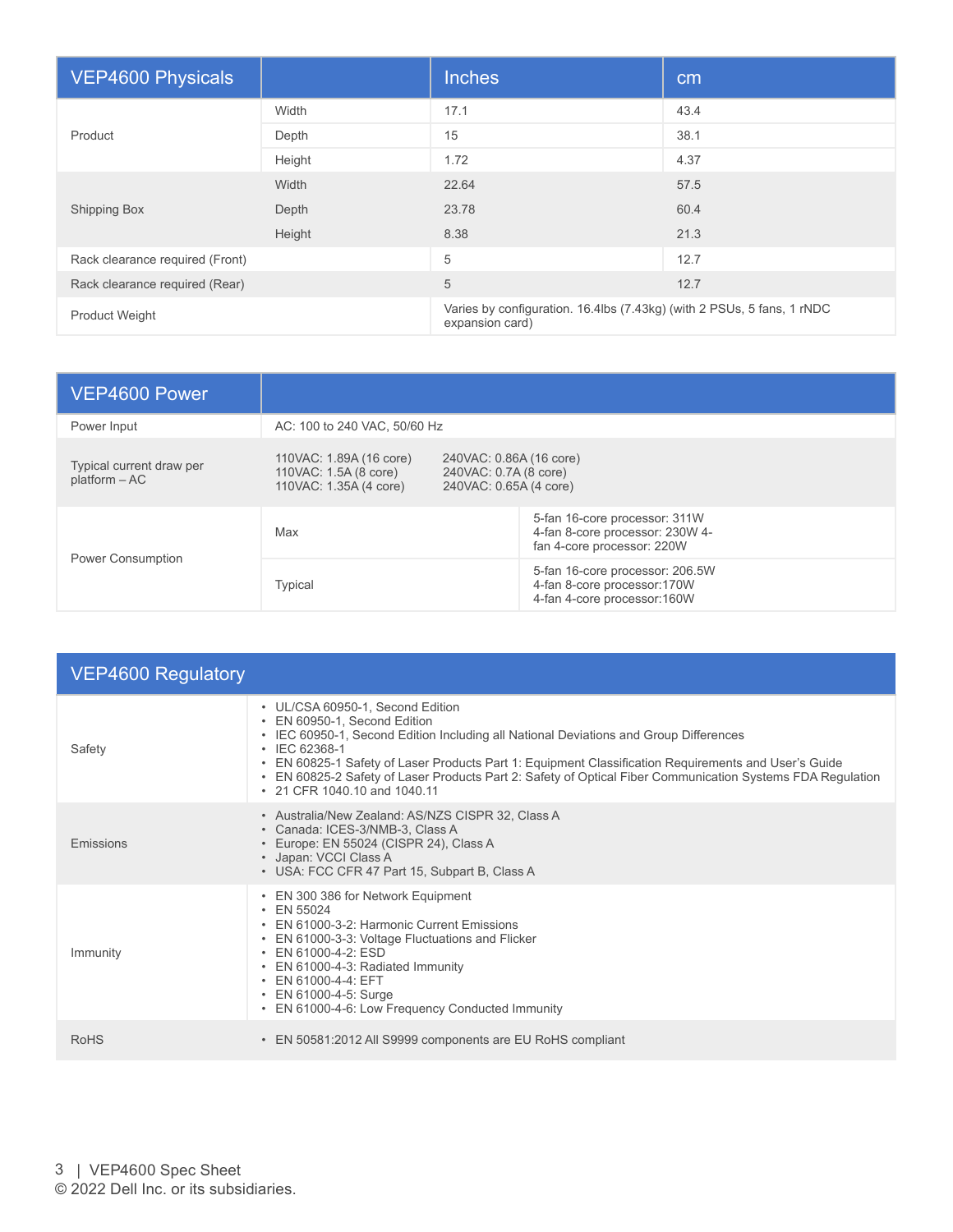| <b>VEP4600 Physicals</b>        |        | <b>Inches</b>                                                                             | cm   |
|---------------------------------|--------|-------------------------------------------------------------------------------------------|------|
| Product                         | Width  | 17.1                                                                                      | 43.4 |
|                                 | Depth  | 15                                                                                        | 38.1 |
|                                 | Height | 1.72                                                                                      | 4.37 |
| <b>Shipping Box</b>             | Width  | 22.64                                                                                     | 57.5 |
|                                 | Depth  | 23.78                                                                                     | 60.4 |
|                                 | Height | 8.38                                                                                      | 21.3 |
| Rack clearance required (Front) |        | 5                                                                                         | 12.7 |
| Rack clearance required (Rear)  |        | 5                                                                                         | 12.7 |
| <b>Product Weight</b>           |        | Varies by configuration. 16.4lbs (7.43kg) (with 2 PSUs, 5 fans, 1 rNDC<br>expansion card) |      |

| VEP4600 Power                               |                                                                            |                                                                                                |
|---------------------------------------------|----------------------------------------------------------------------------|------------------------------------------------------------------------------------------------|
| Power Input                                 | AC: 100 to 240 VAC, 50/60 Hz                                               |                                                                                                |
| Typical current draw per<br>$platform - AC$ | 110VAC: 1.89A (16 core)<br>110VAC: 1.5A (8 core)<br>110VAC: 1.35A (4 core) | 240VAC: 0.86A (16 core)<br>240VAC: 0.7A (8 core)<br>240VAC: 0.65A (4 core)                     |
| <b>Power Consumption</b>                    | Max                                                                        | 5-fan 16-core processor: 311W<br>4-fan 8-core processor: 230W 4-<br>fan 4-core processor: 220W |
|                                             | Typical                                                                    | 5-fan 16-core processor: 206.5W<br>4-fan 8-core processor:170W<br>4-fan 4-core processor:160W  |

| <b>VEP4600 Regulatory</b> |                                                                                                                                                                                                                                                                                                                                                                                                                                        |  |
|---------------------------|----------------------------------------------------------------------------------------------------------------------------------------------------------------------------------------------------------------------------------------------------------------------------------------------------------------------------------------------------------------------------------------------------------------------------------------|--|
| Safety                    | • UL/CSA 60950-1, Second Edition<br>• EN 60950-1, Second Edition<br>• IEC 60950-1, Second Edition Including all National Deviations and Group Differences<br>$\cdot$ IEC 62368-1<br>• EN 60825-1 Safety of Laser Products Part 1: Equipment Classification Requirements and User's Guide<br>• EN 60825-2 Safety of Laser Products Part 2: Safety of Optical Fiber Communication Systems FDA Regulation<br>• 21 CFR 1040 10 and 1040 11 |  |
| <b>Emissions</b>          | • Australia/New Zealand: AS/NZS CISPR 32, Class A<br>• Canada: ICES-3/NMB-3, Class A<br>• Europe: EN 55024 (CISPR 24), Class A<br>• Japan: VCCI Class A<br>• USA: FCC CFR 47 Part 15, Subpart B, Class A                                                                                                                                                                                                                               |  |
| Immunity                  | • EN 300 386 for Network Equipment<br>$\cdot$ EN 55024<br>• EN 61000-3-2: Harmonic Current Emissions<br>• EN 61000-3-3: Voltage Fluctuations and Flicker<br>• EN 61000-4-2: ESD<br>• EN 61000-4-3: Radiated Immunity<br>• EN 61000-4-4: EFT<br>• EN 61000-4-5: Surge<br>• EN 61000-4-6: Low Frequency Conducted Immunity                                                                                                               |  |
| <b>RoHS</b>               | • EN 50581:2012 All S9999 components are EU RoHS compliant                                                                                                                                                                                                                                                                                                                                                                             |  |